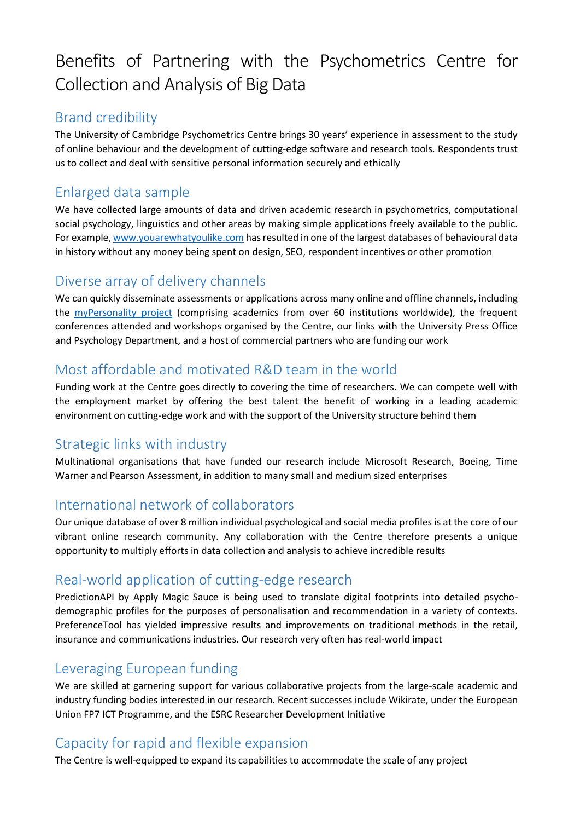# Benefits of Partnering with the Psychometrics Centre for Collection and Analysis of Big Data

## Brand credibility

The University of Cambridge Psychometrics Centre brings 30 years' experience in assessment to the study of online behaviour and the development of cutting-edge software and research tools. Respondents trust us to collect and deal with sensitive personal information securely and ethically

# Enlarged data sample

We have collected large amounts of data and driven academic research in psychometrics, computational social psychology, linguistics and other areas by making simple applications freely available to the public. For example[, www.youarewhatyoulike.com](http://www.youarewhatyoulike.com/) has resulted in one of the largest databases of behavioural data in history without any money being spent on design, SEO, respondent incentives or other promotion

## Diverse array of delivery channels

We can quickly disseminate assessments or applications across many online and offline channels, including the [myPersonality project](http://www.mypersonality.org/) (comprising academics from over 60 institutions worldwide), the frequent conferences attended and workshops organised by the Centre, our links with the University Press Office and Psychology Department, and a host of commercial partners who are funding our work

## Most affordable and motivated R&D team in the world

Funding work at the Centre goes directly to covering the time of researchers. We can compete well with the employment market by offering the best talent the benefit of working in a leading academic environment on cutting-edge work and with the support of the University structure behind them

#### Strategic links with industry

Multinational organisations that have funded our research include Microsoft Research, Boeing, Time Warner and Pearson Assessment, in addition to many small and medium sized enterprises

#### International network of collaborators

Our unique database of over 8 million individual psychological and social media profiles is at the core of our vibrant online research community. Any collaboration with the Centre therefore presents a unique opportunity to multiply efforts in data collection and analysis to achieve incredible results

#### Real-world application of cutting-edge research

PredictionAPI by Apply Magic Sauce is being used to translate digital footprints into detailed psychodemographic profiles for the purposes of personalisation and recommendation in a variety of contexts. PreferenceTool has yielded impressive results and improvements on traditional methods in the retail, insurance and communications industries. Our research very often has real-world impact

#### Leveraging European funding

We are skilled at garnering support for various collaborative projects from the large-scale academic and industry funding bodies interested in our research. Recent successes include Wikirate, under the European Union FP7 ICT Programme, and the ESRC Researcher Development Initiative

# Capacity for rapid and flexible expansion

The Centre is well-equipped to expand its capabilities to accommodate the scale of any project